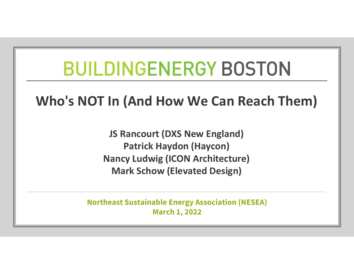## **BUILDINGENERGY BOSTON**

## Who's NOT In (And How We Can Reach Them)

JS Rancourt (DXS New England) Patrick Haydon (Haycon) Nancy Ludwig (ICON Architecture) Mark Schow (Elevated Design)

Northeast Sustainable Energy Association (NESEA) March 1, 2022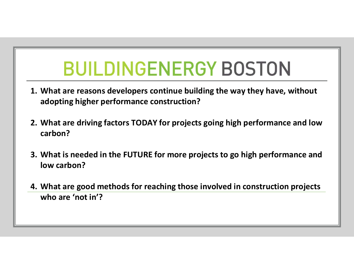- **BUILDINGENERGY BOSTON**<br>1. What are reasons developers continue building the way they have, without<br>adopting higher performance construction?<br>2. What are driving factors TODAY for projects going high performance and low adopting higher performance construction?
- **2.** What are reasons developers continue building the way they have, without adopting higher performance construction?<br>2. What are driving factors TODAY for projects going high performance and low carbon?<br>3. What is neede carbon?
- 3. What are reasons developers continue building the way they have, without<br>3. What are driving factors TODAY for projects going high performance and low<br>3. What is needed in the FUTURE for more projects to go high perform low carbon? 4. What are good methods for reaching those involved in construction projects<br>who are "invisible" and the FUTURE for projects going high performance and low<br>carbon?<br>4. What is needed in the FUTURE for more projects to go h
- who are 'not in'?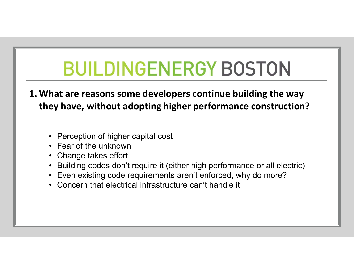- **BUILDINGENERGY BOSTON**<br>1. What are reasons some developers continue building the way<br>they have, without adopting higher performance construction? they have, without adopting higher performance construction? **BUILDINGENERGY**<br>
hat are reasons some developers cont<br>
ey have, without adopting higher perf<br>
• Perception of higher capital cost<br>
• Change takes effort<br>
• Ruilding codes don't require it (either bigh r **BUILDINGENERG**<br>
hat are reasons some developers con<br>
ey have, without adopting higher per<br>
• Perception of higher capital cost<br>
• Fear of the unknown<br>
• Change takes effort<br>
• Building codes don't require it (either high<br> **ENDINGENERE**<br>
hat are reasons some developers coley have, without adopting higher pe<br>
• Perception of higher capital cost<br>
• Fear of the unknown<br>
• Change takes effort<br>
• Even existing code requirements aren't e<br>
• Concer **BUILDINGENERGY BOSTON**<br>
hat are reasons some developers continue building the way<br>
ey have, without adopting higher performance construction?<br>
• Perception of higher capital cost<br>
• Fear of the unknown<br>
• Change takes eff **BUILDINGENERGY BOSTON**<br>
hat are reasons some developers continue building the way<br>
ey have, without adopting higher performance construction?<br>
• Perception of higher capital cost<br>
• Fear of the unknown<br>
• Change takes eff **ENCITY CANCT DURNE WE AND TRANSM**<br> **hat are reasons some developers continue bi**<br> **ey have, without adopting higher performan**<br>
• Perception of higher capital cost<br>
• Evan of the unknown<br>
• Change takes effort<br>
• Building
	-
	-
	-
	-
	-
	-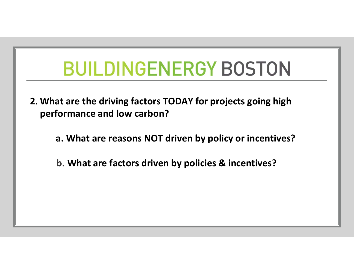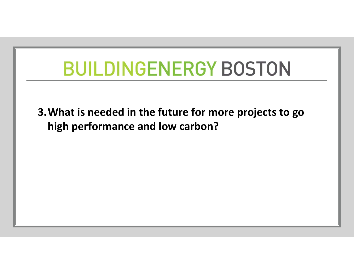